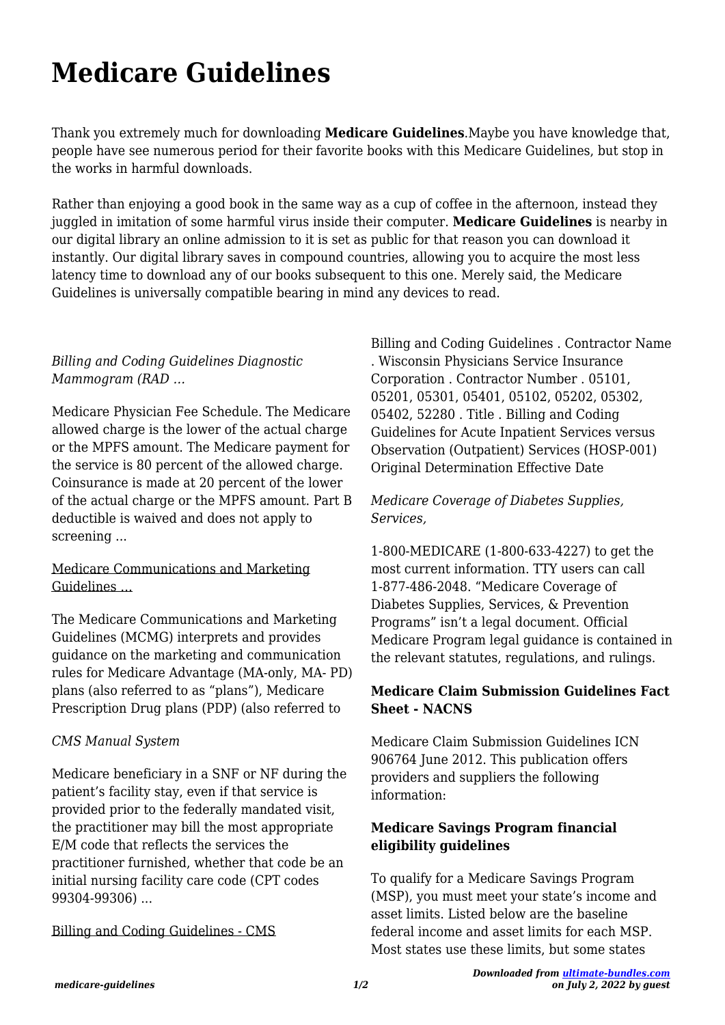# **Medicare Guidelines**

Thank you extremely much for downloading **Medicare Guidelines**.Maybe you have knowledge that, people have see numerous period for their favorite books with this Medicare Guidelines, but stop in the works in harmful downloads.

Rather than enjoying a good book in the same way as a cup of coffee in the afternoon, instead they juggled in imitation of some harmful virus inside their computer. **Medicare Guidelines** is nearby in our digital library an online admission to it is set as public for that reason you can download it instantly. Our digital library saves in compound countries, allowing you to acquire the most less latency time to download any of our books subsequent to this one. Merely said, the Medicare Guidelines is universally compatible bearing in mind any devices to read.

#### *Billing and Coding Guidelines Diagnostic Mammogram (RAD …*

Medicare Physician Fee Schedule. The Medicare allowed charge is the lower of the actual charge or the MPFS amount. The Medicare payment for the service is 80 percent of the allowed charge. Coinsurance is made at 20 percent of the lower of the actual charge or the MPFS amount. Part B deductible is waived and does not apply to screening ...

#### Medicare Communications and Marketing Guidelines …

The Medicare Communications and Marketing Guidelines (MCMG) interprets and provides guidance on the marketing and communication rules for Medicare Advantage (MA-only, MA- PD) plans (also referred to as "plans"), Medicare Prescription Drug plans (PDP) (also referred to

# *CMS Manual System*

Medicare beneficiary in a SNF or NF during the patient's facility stay, even if that service is provided prior to the federally mandated visit, the practitioner may bill the most appropriate E/M code that reflects the services the practitioner furnished, whether that code be an initial nursing facility care code (CPT codes 99304-99306) ...

# Billing and Coding Guidelines - CMS

Billing and Coding Guidelines . Contractor Name . Wisconsin Physicians Service Insurance Corporation . Contractor Number . 05101, 05201, 05301, 05401, 05102, 05202, 05302, 05402, 52280 . Title . Billing and Coding Guidelines for Acute Inpatient Services versus Observation (Outpatient) Services (HOSP-001) Original Determination Effective Date

#### *Medicare Coverage of Diabetes Supplies, Services,*

1-800-MEDICARE (1-800-633-4227) to get the most current information. TTY users can call 1-877-486-2048. "Medicare Coverage of Diabetes Supplies, Services, & Prevention Programs" isn't a legal document. Official Medicare Program legal guidance is contained in the relevant statutes, regulations, and rulings.

# **Medicare Claim Submission Guidelines Fact Sheet - NACNS**

Medicare Claim Submission Guidelines ICN 906764 June 2012. This publication offers providers and suppliers the following information:

# **Medicare Savings Program financial eligibility guidelines**

To qualify for a Medicare Savings Program (MSP), you must meet your state's income and asset limits. Listed below are the baseline federal income and asset limits for each MSP. Most states use these limits, but some states